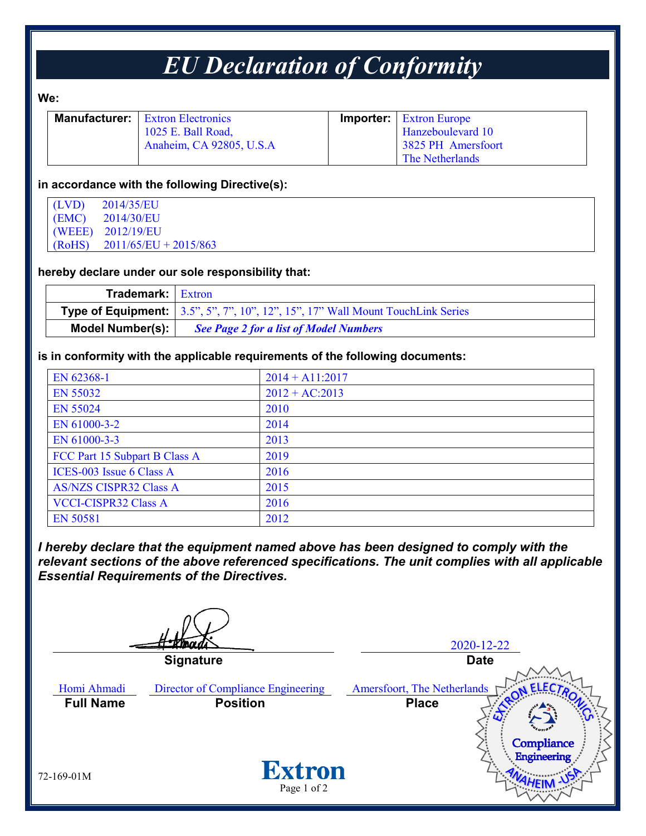# *EU Declaration of Conformity*

#### **We:**

| <b>Manufacturer:</b> Extron Electronics | <b>Importer:</b> Extron Europe |
|-----------------------------------------|--------------------------------|
| 1025 E. Ball Road,                      | Hanzeboulevard 10              |
| Anaheim, CA 92805, U.S.A                | 3825 PH Amersfoort             |
|                                         | The Netherlands                |

#### **in accordance with the following Directive(s):**

| (LVD)  | 2014/35/EU              |
|--------|-------------------------|
| (EMC)  | 2014/30/EU              |
|        | (WEEE) 2012/19/EU       |
| (RoHS) | $2011/65/EU + 2015/863$ |

### **hereby declare under our sole responsibility that:**

| <b>Trademark:</b> Extron |                                                                                                                                                           |
|--------------------------|-----------------------------------------------------------------------------------------------------------------------------------------------------------|
|                          | <b>Type of Equipment:</b> $\left[ 3.5^{\circ}, 5^{\circ}, 7^{\circ}, 10^{\circ}, 12^{\circ}, 15^{\circ}, 17^{\circ} \right]$ Wall Mount Touch Link Series |
| <b>Model Number(s):</b>  | <b>See Page 2 for a list of Model Numbers</b>                                                                                                             |

#### **is in conformity with the applicable requirements of the following documents:**

| EN 62368-1                    | $2014 + A11:2017$ |
|-------------------------------|-------------------|
| EN 55032                      | $2012 + AC:2013$  |
| <b>EN 55024</b>               | 2010              |
| EN 61000-3-2                  | 2014              |
| EN 61000-3-3                  | 2013              |
| FCC Part 15 Subpart B Class A | 2019              |
| ICES-003 Issue 6 Class A      | 2016              |
| <b>AS/NZS CISPR32 Class A</b> | 2015              |
| <b>VCCI-CISPR32 Class A</b>   | 2016              |
| <b>EN 50581</b>               | 2012              |

*I hereby declare that the equipment named above has been designed to comply with the relevant sections of the above referenced specifications. The unit complies with all applicable Essential Requirements of the Directives.*

2020-12-22 **Signature Date** Homi Ahmadi Director of Compliance Engineering Amersfoort, The Netherlands **Full Name Position Place**Compliance **Engineering Extron** 72-169-01M Page 1 of 2